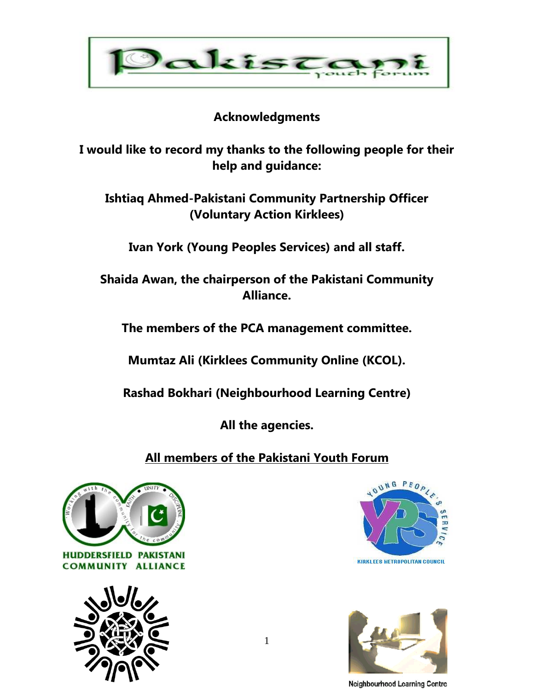

#### **Acknowledgments**

**I would like to record my thanks to the following people for their help and guidance:**

**Ishtiaq Ahmed-Pakistani Community Partnership Officer (Voluntary Action Kirklees)**

**Ivan York (Young Peoples Services) and all staff.**

**Shaida Awan, the chairperson of the Pakistani Community Alliance.**

**The members of the PCA management committee.**

**Mumtaz Ali (Kirklees Community Online (KCOL).** 

**Rashad Bokhari (Neighbourhood Learning Centre)**

**All the agencies.**

**All members of the Pakistani Youth Forum**









Neighbourhood Learning Centre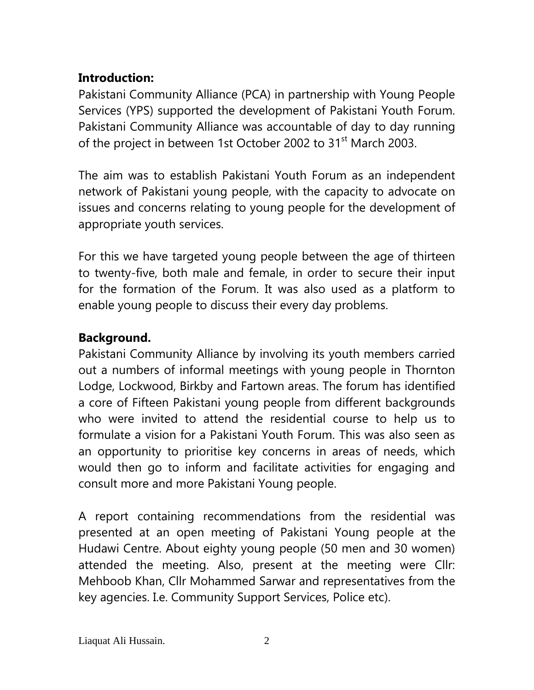### **Introduction:**

Pakistani Community Alliance (PCA) in partnership with Young People Services (YPS) supported the development of Pakistani Youth Forum. Pakistani Community Alliance was accountable of day to day running of the project in between 1st October 2002 to 31<sup>st</sup> March 2003.

The aim was to establish Pakistani Youth Forum as an independent network of Pakistani young people, with the capacity to advocate on issues and concerns relating to young people for the development of appropriate youth services.

For this we have targeted young people between the age of thirteen to twenty-five, both male and female, in order to secure their input for the formation of the Forum. It was also used as a platform to enable young people to discuss their every day problems.

## **Background.**

Pakistani Community Alliance by involving its youth members carried out a numbers of informal meetings with young people in Thornton Lodge, Lockwood, Birkby and Fartown areas. The forum has identified a core of Fifteen Pakistani young people from different backgrounds who were invited to attend the residential course to help us to formulate a vision for a Pakistani Youth Forum. This was also seen as an opportunity to prioritise key concerns in areas of needs, which would then go to inform and facilitate activities for engaging and consult more and more Pakistani Young people.

A report containing recommendations from the residential was presented at an open meeting of Pakistani Young people at the Hudawi Centre. About eighty young people (50 men and 30 women) attended the meeting. Also, present at the meeting were Cllr: Mehboob Khan, Cllr Mohammed Sarwar and representatives from the key agencies. I.e. Community Support Services, Police etc).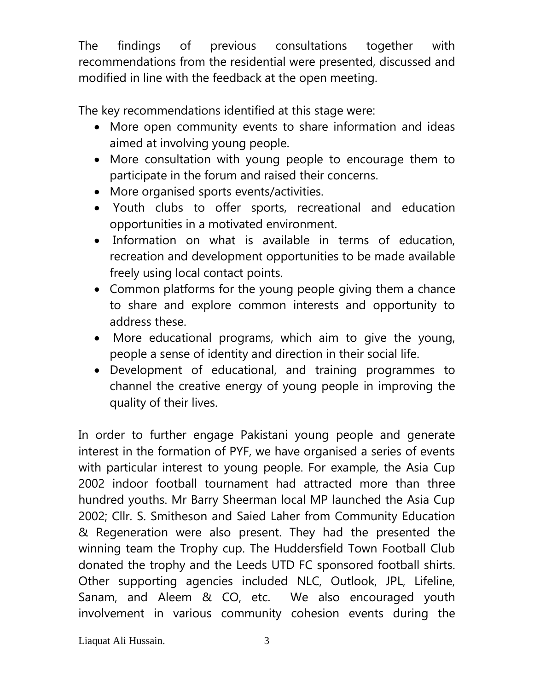The findings of previous consultations together with recommendations from the residential were presented, discussed and modified in line with the feedback at the open meeting.

The key recommendations identified at this stage were:

- More open community events to share information and ideas aimed at involving young people.
- More consultation with young people to encourage them to participate in the forum and raised their concerns.
- More organised sports events/activities.
- Youth clubs to offer sports, recreational and education opportunities in a motivated environment.
- Information on what is available in terms of education, recreation and development opportunities to be made available freely using local contact points.
- Common platforms for the young people giving them a chance to share and explore common interests and opportunity to address these.
- More educational programs, which aim to give the young, people a sense of identity and direction in their social life.
- Development of educational, and training programmes to channel the creative energy of young people in improving the quality of their lives.

In order to further engage Pakistani young people and generate interest in the formation of PYF, we have organised a series of events with particular interest to young people. For example, the Asia Cup 2002 indoor football tournament had attracted more than three hundred youths. Mr Barry Sheerman local MP launched the Asia Cup 2002; Cllr. S. Smitheson and Saied Laher from Community Education & Regeneration were also present. They had the presented the winning team the Trophy cup. The Huddersfield Town Football Club donated the trophy and the Leeds UTD FC sponsored football shirts. Other supporting agencies included NLC, Outlook, JPL, Lifeline, Sanam, and Aleem & CO, etc. We also encouraged youth involvement in various community cohesion events during the

Liaquat Ali Hussain. 3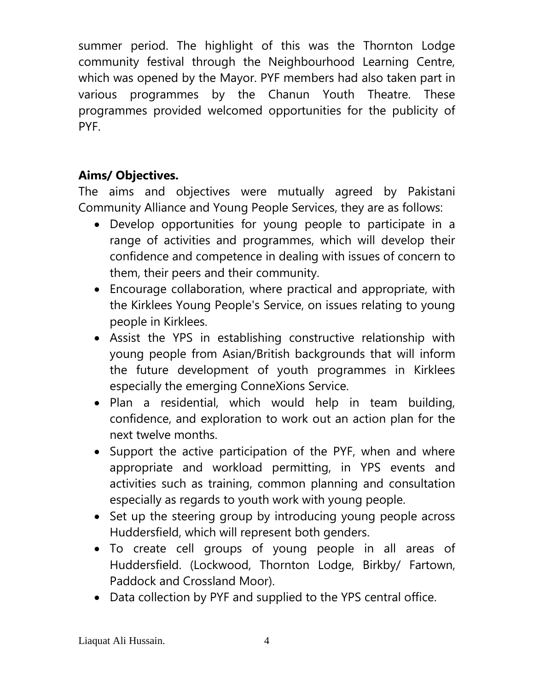summer period. The highlight of this was the Thornton Lodge community festival through the Neighbourhood Learning Centre, which was opened by the Mayor. PYF members had also taken part in various programmes by the Chanun Youth Theatre. These programmes provided welcomed opportunities for the publicity of PYF.

# **Aims/ Objectives.**

The aims and objectives were mutually agreed by Pakistani Community Alliance and Young People Services, they are as follows:

- Develop opportunities for young people to participate in a range of activities and programmes, which will develop their confidence and competence in dealing with issues of concern to them, their peers and their community.
- Encourage collaboration, where practical and appropriate, with the Kirklees Young People's Service, on issues relating to young people in Kirklees.
- Assist the YPS in establishing constructive relationship with young people from Asian/British backgrounds that will inform the future development of youth programmes in Kirklees especially the emerging ConneXions Service.
- Plan a residential, which would help in team building, confidence, and exploration to work out an action plan for the next twelve months.
- Support the active participation of the PYF, when and where appropriate and workload permitting, in YPS events and activities such as training, common planning and consultation especially as regards to youth work with young people.
- Set up the steering group by introducing young people across Huddersfield, which will represent both genders.
- To create cell groups of young people in all areas of Huddersfield. (Lockwood, Thornton Lodge, Birkby/ Fartown, Paddock and Crossland Moor).
- Data collection by PYF and supplied to the YPS central office.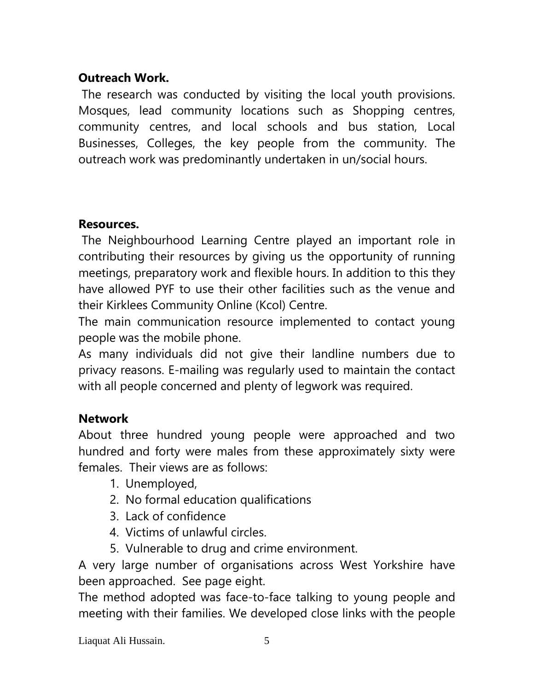### **Outreach Work.**

The research was conducted by visiting the local youth provisions. Mosques, lead community locations such as Shopping centres, community centres, and local schools and bus station, Local Businesses, Colleges, the key people from the community. The outreach work was predominantly undertaken in un/social hours.

#### **Resources.**

The Neighbourhood Learning Centre played an important role in contributing their resources by giving us the opportunity of running meetings, preparatory work and flexible hours. In addition to this they have allowed PYF to use their other facilities such as the venue and their Kirklees Community Online (Kcol) Centre.

The main communication resource implemented to contact young people was the mobile phone.

As many individuals did not give their landline numbers due to privacy reasons. E-mailing was regularly used to maintain the contact with all people concerned and plenty of legwork was required.

### **Network**

About three hundred young people were approached and two hundred and forty were males from these approximately sixty were females. Their views are as follows:

- 1. Unemployed,
- 2. No formal education qualifications
- 3. Lack of confidence
- 4. Victims of unlawful circles.
- 5. Vulnerable to drug and crime environment.

A very large number of organisations across West Yorkshire have been approached. See page eight.

The method adopted was face-to-face talking to young people and meeting with their families. We developed close links with the people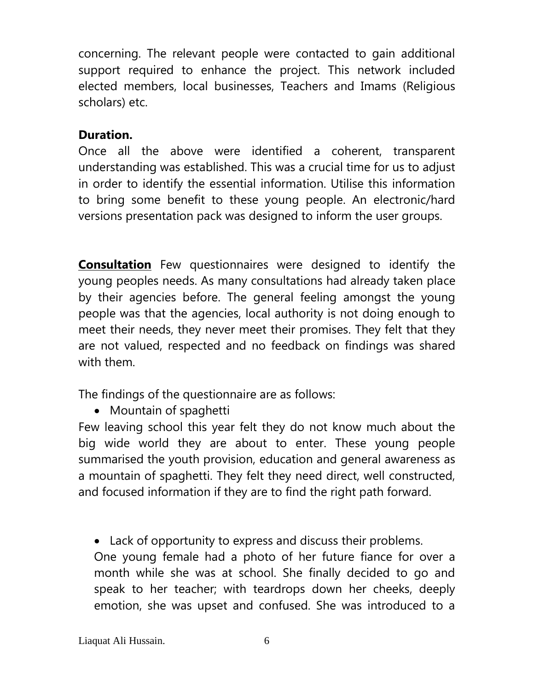concerning. The relevant people were contacted to gain additional support required to enhance the project. This network included elected members, local businesses, Teachers and Imams (Religious scholars) etc.

#### **Duration.**

Once all the above were identified a coherent, transparent understanding was established. This was a crucial time for us to adjust in order to identify the essential information. Utilise this information to bring some benefit to these young people. An electronic/hard versions presentation pack was designed to inform the user groups.

**Consultation** Few questionnaires were designed to identify the young peoples needs. As many consultations had already taken place by their agencies before. The general feeling amongst the young people was that the agencies, local authority is not doing enough to meet their needs, they never meet their promises. They felt that they are not valued, respected and no feedback on findings was shared with them.

The findings of the questionnaire are as follows:

• Mountain of spaghetti

Few leaving school this year felt they do not know much about the big wide world they are about to enter. These young people summarised the youth provision, education and general awareness as a mountain of spaghetti. They felt they need direct, well constructed, and focused information if they are to find the right path forward.

Lack of opportunity to express and discuss their problems.

One young female had a photo of her future fiance for over a month while she was at school. She finally decided to go and speak to her teacher; with teardrops down her cheeks, deeply emotion, she was upset and confused. She was introduced to a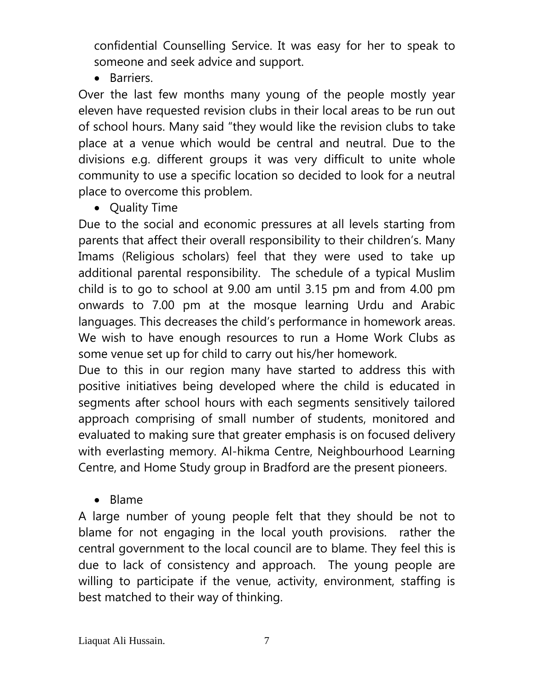confidential Counselling Service. It was easy for her to speak to someone and seek advice and support.

• Barriers.

Over the last few months many young of the people mostly year eleven have requested revision clubs in their local areas to be run out of school hours. Many said "they would like the revision clubs to take place at a venue which would be central and neutral. Due to the divisions e.g. different groups it was very difficult to unite whole community to use a specific location so decided to look for a neutral place to overcome this problem.

• Quality Time

Due to the social and economic pressures at all levels starting from parents that affect their overall responsibility to their children's. Many Imams (Religious scholars) feel that they were used to take up additional parental responsibility. The schedule of a typical Muslim child is to go to school at 9.00 am until 3.15 pm and from 4.00 pm onwards to 7.00 pm at the mosque learning Urdu and Arabic languages. This decreases the child's performance in homework areas. We wish to have enough resources to run a Home Work Clubs as some venue set up for child to carry out his/her homework.

Due to this in our region many have started to address this with positive initiatives being developed where the child is educated in segments after school hours with each segments sensitively tailored approach comprising of small number of students, monitored and evaluated to making sure that greater emphasis is on focused delivery with everlasting memory. Al-hikma Centre, Neighbourhood Learning Centre, and Home Study group in Bradford are the present pioneers.

• Blame

A large number of young people felt that they should be not to blame for not engaging in the local youth provisions. rather the central government to the local council are to blame. They feel this is due to lack of consistency and approach. The young people are willing to participate if the venue, activity, environment, staffing is best matched to their way of thinking.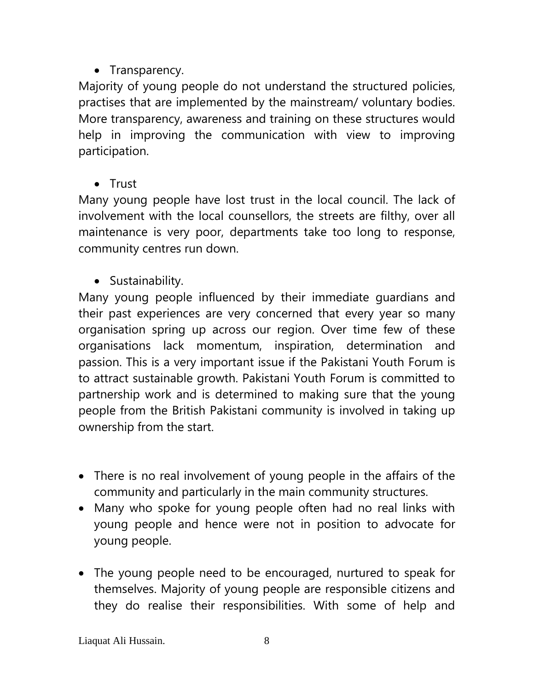# • Transparency.

Majority of young people do not understand the structured policies, practises that are implemented by the mainstream/ voluntary bodies. More transparency, awareness and training on these structures would help in improving the communication with view to improving participation.

**•** Trust

Many young people have lost trust in the local council. The lack of involvement with the local counsellors, the streets are filthy, over all maintenance is very poor, departments take too long to response, community centres run down.

• Sustainability.

Many young people influenced by their immediate guardians and their past experiences are very concerned that every year so many organisation spring up across our region. Over time few of these organisations lack momentum, inspiration, determination and passion. This is a very important issue if the Pakistani Youth Forum is to attract sustainable growth. Pakistani Youth Forum is committed to partnership work and is determined to making sure that the young people from the British Pakistani community is involved in taking up ownership from the start.

- There is no real involvement of young people in the affairs of the community and particularly in the main community structures.
- Many who spoke for young people often had no real links with young people and hence were not in position to advocate for young people.
- The young people need to be encouraged, nurtured to speak for themselves. Majority of young people are responsible citizens and they do realise their responsibilities. With some of help and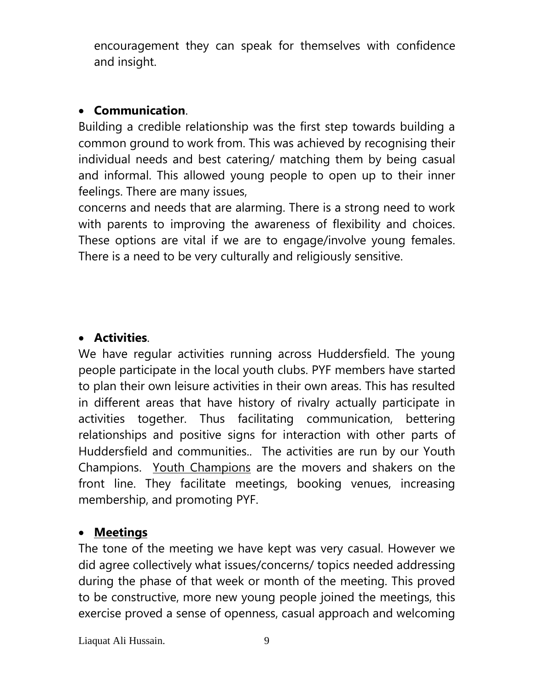encouragement they can speak for themselves with confidence and insight.

### **Communication**.

Building a credible relationship was the first step towards building a common ground to work from. This was achieved by recognising their individual needs and best catering/ matching them by being casual and informal. This allowed young people to open up to their inner feelings. There are many issues,

concerns and needs that are alarming. There is a strong need to work with parents to improving the awareness of flexibility and choices. These options are vital if we are to engage/involve young females. There is a need to be very culturally and religiously sensitive.

### **Activities**.

We have regular activities running across Huddersfield. The young people participate in the local youth clubs. PYF members have started to plan their own leisure activities in their own areas. This has resulted in different areas that have history of rivalry actually participate in activities together. Thus facilitating communication, bettering relationships and positive signs for interaction with other parts of Huddersfield and communities.. The activities are run by our Youth Champions. Youth Champions are the movers and shakers on the front line. They facilitate meetings, booking venues, increasing membership, and promoting PYF.

#### **Meetings**

The tone of the meeting we have kept was very casual. However we did agree collectively what issues/concerns/ topics needed addressing during the phase of that week or month of the meeting. This proved to be constructive, more new young people joined the meetings, this exercise proved a sense of openness, casual approach and welcoming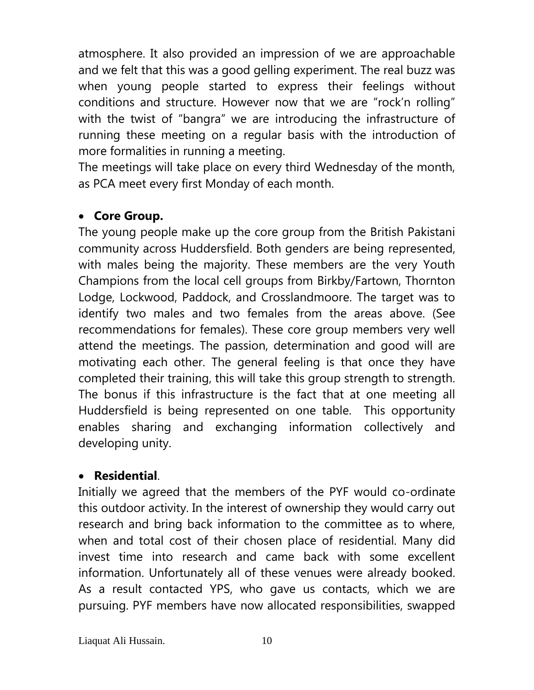atmosphere. It also provided an impression of we are approachable and we felt that this was a good gelling experiment. The real buzz was when young people started to express their feelings without conditions and structure. However now that we are "rock'n rolling" with the twist of "bangra" we are introducing the infrastructure of running these meeting on a regular basis with the introduction of more formalities in running a meeting.

The meetings will take place on every third Wednesday of the month, as PCA meet every first Monday of each month.

#### **Core Group.**

The young people make up the core group from the British Pakistani community across Huddersfield. Both genders are being represented, with males being the majority. These members are the very Youth Champions from the local cell groups from Birkby/Fartown, Thornton Lodge, Lockwood, Paddock, and Crosslandmoore. The target was to identify two males and two females from the areas above. (See recommendations for females). These core group members very well attend the meetings. The passion, determination and good will are motivating each other. The general feeling is that once they have completed their training, this will take this group strength to strength. The bonus if this infrastructure is the fact that at one meeting all Huddersfield is being represented on one table. This opportunity enables sharing and exchanging information collectively and developing unity.

#### **Residential**.

Initially we agreed that the members of the PYF would co-ordinate this outdoor activity. In the interest of ownership they would carry out research and bring back information to the committee as to where, when and total cost of their chosen place of residential. Many did invest time into research and came back with some excellent information. Unfortunately all of these venues were already booked. As a result contacted YPS, who gave us contacts, which we are pursuing. PYF members have now allocated responsibilities, swapped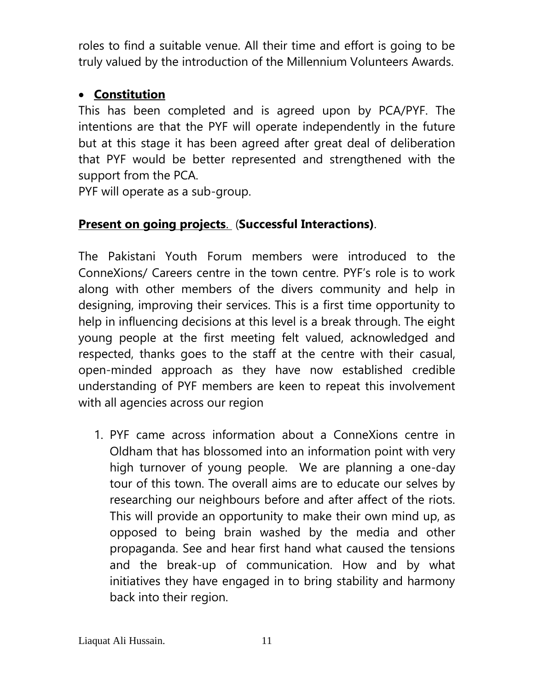roles to find a suitable venue. All their time and effort is going to be truly valued by the introduction of the Millennium Volunteers Awards.

### **Constitution**

This has been completed and is agreed upon by PCA/PYF. The intentions are that the PYF will operate independently in the future but at this stage it has been agreed after great deal of deliberation that PYF would be better represented and strengthened with the support from the PCA.

PYF will operate as a sub-group.

## **Present on going projects**. (**Successful Interactions)**.

The Pakistani Youth Forum members were introduced to the ConneXions/ Careers centre in the town centre. PYF's role is to work along with other members of the divers community and help in designing, improving their services. This is a first time opportunity to help in influencing decisions at this level is a break through. The eight young people at the first meeting felt valued, acknowledged and respected, thanks goes to the staff at the centre with their casual, open-minded approach as they have now established credible understanding of PYF members are keen to repeat this involvement with all agencies across our region

1. PYF came across information about a ConneXions centre in Oldham that has blossomed into an information point with very high turnover of young people. We are planning a one-day tour of this town. The overall aims are to educate our selves by researching our neighbours before and after affect of the riots. This will provide an opportunity to make their own mind up, as opposed to being brain washed by the media and other propaganda. See and hear first hand what caused the tensions and the break-up of communication. How and by what initiatives they have engaged in to bring stability and harmony back into their region.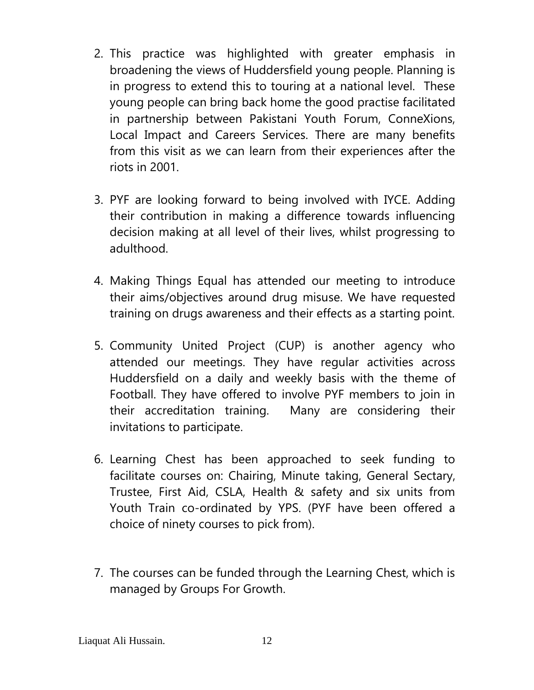- 2. This practice was highlighted with greater emphasis in broadening the views of Huddersfield young people. Planning is in progress to extend this to touring at a national level. These young people can bring back home the good practise facilitated in partnership between Pakistani Youth Forum, ConneXions, Local Impact and Careers Services. There are many benefits from this visit as we can learn from their experiences after the riots in 2001.
- 3. PYF are looking forward to being involved with IYCE. Adding their contribution in making a difference towards influencing decision making at all level of their lives, whilst progressing to adulthood.
- 4. Making Things Equal has attended our meeting to introduce their aims/objectives around drug misuse. We have requested training on drugs awareness and their effects as a starting point.
- 5. Community United Project (CUP) is another agency who attended our meetings. They have regular activities across Huddersfield on a daily and weekly basis with the theme of Football. They have offered to involve PYF members to join in their accreditation training. Many are considering their invitations to participate.
- 6. Learning Chest has been approached to seek funding to facilitate courses on: Chairing, Minute taking, General Sectary, Trustee, First Aid, CSLA, Health & safety and six units from Youth Train co-ordinated by YPS. (PYF have been offered a choice of ninety courses to pick from).
- 7. The courses can be funded through the Learning Chest, which is managed by Groups For Growth.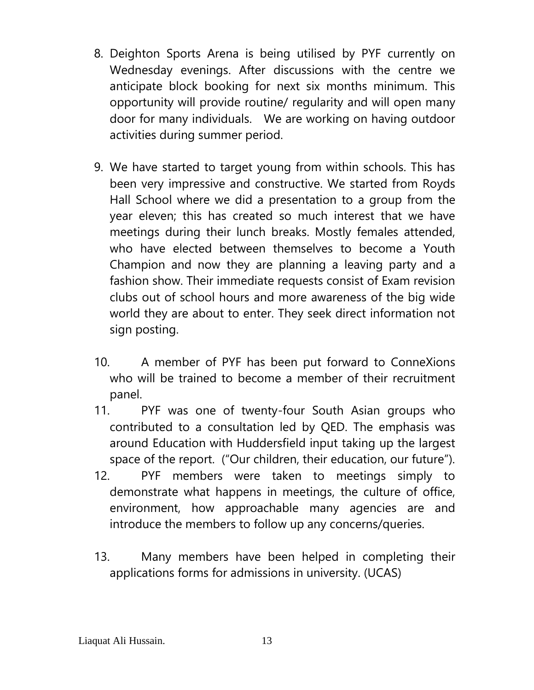- 8. Deighton Sports Arena is being utilised by PYF currently on Wednesday evenings. After discussions with the centre we anticipate block booking for next six months minimum. This opportunity will provide routine/ regularity and will open many door for many individuals. We are working on having outdoor activities during summer period.
- 9. We have started to target young from within schools. This has been very impressive and constructive. We started from Royds Hall School where we did a presentation to a group from the year eleven; this has created so much interest that we have meetings during their lunch breaks. Mostly females attended, who have elected between themselves to become a Youth Champion and now they are planning a leaving party and a fashion show. Their immediate requests consist of Exam revision clubs out of school hours and more awareness of the big wide world they are about to enter. They seek direct information not sign posting.
- 10. A member of PYF has been put forward to ConneXions who will be trained to become a member of their recruitment panel.
- 11. PYF was one of twenty-four South Asian groups who contributed to a consultation led by QED. The emphasis was around Education with Huddersfield input taking up the largest space of the report. ("Our children, their education, our future").
- 12. PYF members were taken to meetings simply to demonstrate what happens in meetings, the culture of office, environment, how approachable many agencies are and introduce the members to follow up any concerns/queries.
- 13. Many members have been helped in completing their applications forms for admissions in university. (UCAS)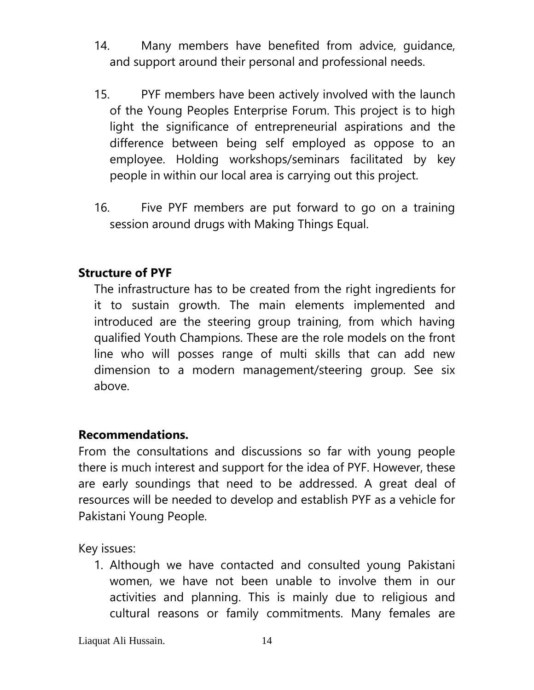- 14. Many members have benefited from advice, guidance, and support around their personal and professional needs.
- 15. PYF members have been actively involved with the launch of the Young Peoples Enterprise Forum. This project is to high light the significance of entrepreneurial aspirations and the difference between being self employed as oppose to an employee. Holding workshops/seminars facilitated by key people in within our local area is carrying out this project.
- 16. Five PYF members are put forward to go on a training session around drugs with Making Things Equal.

#### **Structure of PYF**

The infrastructure has to be created from the right ingredients for it to sustain growth. The main elements implemented and introduced are the steering group training, from which having qualified Youth Champions. These are the role models on the front line who will posses range of multi skills that can add new dimension to a modern management/steering group. See six above.

#### **Recommendations.**

From the consultations and discussions so far with young people there is much interest and support for the idea of PYF. However, these are early soundings that need to be addressed. A great deal of resources will be needed to develop and establish PYF as a vehicle for Pakistani Young People.

Key issues:

1. Although we have contacted and consulted young Pakistani women, we have not been unable to involve them in our activities and planning. This is mainly due to religious and cultural reasons or family commitments. Many females are

Liaquat Ali Hussain. 14